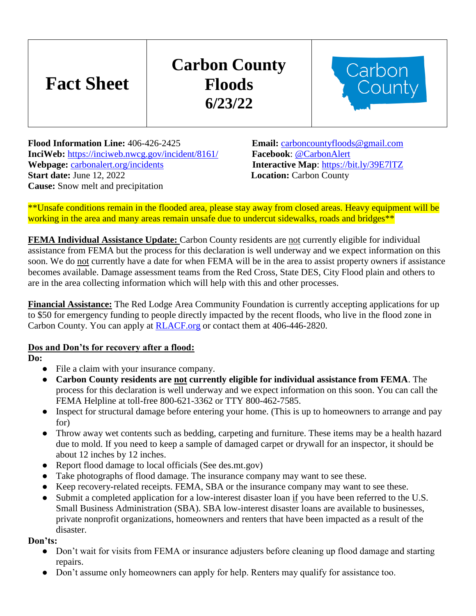# **Fact Sheet**

# **Carbon County Floods 6/23/22**



**Flood Information Line:** 406-426-2425 **Email:** [carboncountyfloods@gmail.com](mailto:carboncountyfloods@gmail.com) **InciWeb:** <https://inciweb.nwcg.gov/incident/8161/>**Facebook**: [@CarbonAlert](https://www.facebook.com/CarbonAlert/) **Webpage:** [carbonalert.org/incidents](http://www.carbonalert.org/incidents) **Interactive Map**:<https://bit.ly/39E7lTZ> **Start date:** June 12, 2022 **Location:** Carbon County **Cause:** Snow melt and precipitation

\*\*Unsafe conditions remain in the flooded area, please stay away from closed areas. Heavy equipment will be working in the area and many areas remain unsafe due to undercut sidewalks, roads and bridges\*\*

**FEMA Individual Assistance Update:** Carbon County residents are not currently eligible for individual assistance from FEMA but the process for this declaration is well underway and we expect information on this soon. We do not currently have a date for when FEMA will be in the area to assist property owners if assistance becomes available. Damage assessment teams from the Red Cross, State DES, City Flood plain and others to are in the area collecting information which will help with this and other processes.

**Financial Assistance:** The Red Lodge Area Community Foundation is currently accepting applications for up to \$50 for emergency funding to people directly impacted by the recent floods, who live in the flood zone in Carbon County. You can apply at [RLACF.org](http://www.rlacf.org/) or contact them at 406-446-2820.

#### **Dos and Don'ts for recovery after a flood:**

**Do:**

- File a claim with your insurance company.
- **Carbon County residents are not currently eligible for individual assistance from FEMA**. The process for this declaration is well underway and we expect information on this soon. You can call the FEMA Helpline at toll-free 800-621-3362 or TTY 800-462-7585.
- Inspect for structural damage before entering your home. (This is up to homeowners to arrange and pay for)
- Throw away wet contents such as bedding, carpeting and furniture. These items may be a health hazard due to mold. If you need to keep a sample of damaged carpet or drywall for an inspector, it should be about 12 inches by 12 inches.
- Report flood damage to local officials (See des.mt.gov)
- Take photographs of flood damage. The insurance company may want to see these.
- Keep recovery-related receipts. FEMA, SBA or the insurance company may want to see these.
- Submit a completed application for a low-interest disaster loan if you have been referred to the U.S. Small Business Administration (SBA). SBA low-interest disaster loans are available to businesses, private nonprofit organizations, homeowners and renters that have been impacted as a result of the disaster.

#### **Don'ts:**

- Don't wait for visits from FEMA or insurance adjusters before cleaning up flood damage and starting repairs.
- Don't assume only homeowners can apply for help. Renters may qualify for assistance too.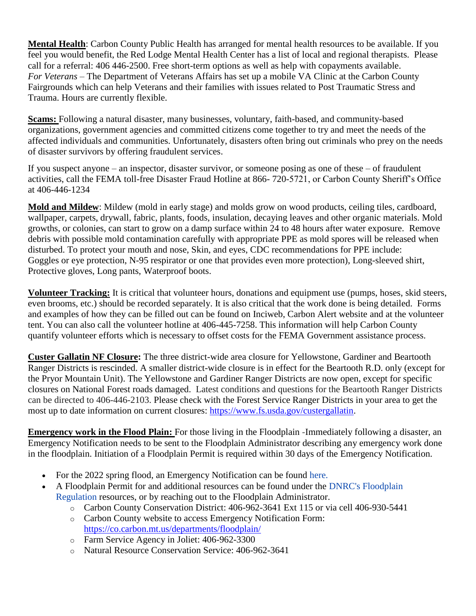**Mental Health**: Carbon County Public Health has arranged for mental health resources to be available. If you feel you would benefit, the Red Lodge Mental Health Center has a list of local and regional therapists. Please call for a referral: 406 446-2500. Free short-term options as well as help with copayments available. *For Veterans* – The Department of Veterans Affairs has set up a mobile VA Clinic at the Carbon County Fairgrounds which can help Veterans and their families with issues related to Post Traumatic Stress and Trauma. Hours are currently flexible.

**Scams:** Following a natural disaster, many businesses, voluntary, faith-based, and community-based organizations, government agencies and committed citizens come together to try and meet the needs of the affected individuals and communities. Unfortunately, disasters often bring out criminals who prey on the needs of disaster survivors by offering fraudulent services.

If you suspect anyone – an inspector, disaster survivor, or someone posing as one of these – of fraudulent activities, call the FEMA toll-free Disaster Fraud Hotline at 866- 720-5721, or Carbon County Sheriff's Office at 406-446-1234

**Mold and Mildew**: Mildew (mold in early stage) and molds grow on wood products, ceiling tiles, cardboard, wallpaper, carpets, drywall, fabric, plants, foods, insulation, decaying leaves and other organic materials. Mold growths, or colonies, can start to grow on a damp surface within 24 to 48 hours after water exposure. Remove debris with possible mold contamination carefully with appropriate PPE as mold spores will be released when disturbed. To protect your mouth and nose, Skin, and eyes, CDC recommendations for PPE include: Goggles or eye protection, N-95 respirator or one that provides even more protection), Long-sleeved shirt, Protective gloves, Long pants, Waterproof boots.

**Volunteer Tracking:** It is critical that volunteer hours, donations and equipment use (pumps, hoses, skid steers, even brooms, etc.) should be recorded separately. It is also critical that the work done is being detailed. Forms and examples of how they can be filled out can be found on Inciweb, Carbon Alert website and at the volunteer tent. You can also call the volunteer hotline at 406-445-7258. This information will help Carbon County quantify volunteer efforts which is necessary to offset costs for the FEMA Government assistance process.

**Custer Gallatin NF Closure:** The three district-wide area closure for Yellowstone, Gardiner and Beartooth Ranger Districts is rescinded. A smaller district-wide closure is in effect for the Beartooth R.D. only (except for the Pryor Mountain Unit). The Yellowstone and Gardiner Ranger Districts are now open, except for specific closures on National Forest roads damaged. Latest conditions and questions for the Beartooth Ranger Districts can be directed to 406-446-2103. Please check with the Forest Service Ranger Districts in your area to get the most up to date information on current closures: [https://www.fs.usda.gov/custergallatin.](https://www.fs.usda.gov/custergallatin?fbclid=IwAR0z4xkV3kobciqBXAGEaVezczgZdWeHD40C1I7HC_IVwdu1-uEZLF_dTgA)

**Emergency work in the Flood Plain:** For those living in the Floodplain -Immediately following a disaster, an Emergency Notification needs to be sent to the Floodplain Administrator describing any emergency work done in the floodplain. Initiation of a Floodplain Permit is required within 30 days of the Emergency Notification.

- For the 2022 spring flood, an Emergency Notification can be found [here.](https://carboncomt.seamlessdocs.com/f/EmergencyFloodpermit)
- A Floodplain Permit for and additional resources can be found under the [DNRC's Floodplain](http://dnrc.mt.gov/divisions/water/operations/floodplain-management/permitting-and-regulations)  [Regulation](http://dnrc.mt.gov/divisions/water/operations/floodplain-management/permitting-and-regulations) resources, or by reaching out to the Floodplain Administrator.
	- o Carbon County Conservation District: 406-962-3641 Ext 115 or via cell 406-930-5441
	- o Carbon County website to access Emergency Notification Form: [https://co.carbon.mt.us/departments/floodplain/](https://gcc02.safelinks.protection.outlook.com/?url=https%3A%2F%2Fco.carbon.mt.us%2Fdepartments%2Ffloodplain%2F&data=05%7C01%7C%7C4075c7ea0512402ef66808da4fd1833d%7Ced5b36e701ee4ebc867ee03cfa0d4697%7C0%7C0%7C637910058509179747%7CUnknown%7CTWFpbGZsb3d8eyJWIjoiMC4wLjAwMDAiLCJQIjoiV2luMzIiLCJBTiI6Ik1haWwiLCJXVCI6Mn0%3D%7C3000%7C%7C%7C&sdata=tvMdZsasjdTYp2AsnovqHAV%2B1fvd60y3E9mHK7O61%2Fk%3D&reserved=0)
	- o Farm Service Agency in Joliet: 406-962-3300
	- o Natural Resource Conservation Service: 406-962-3641